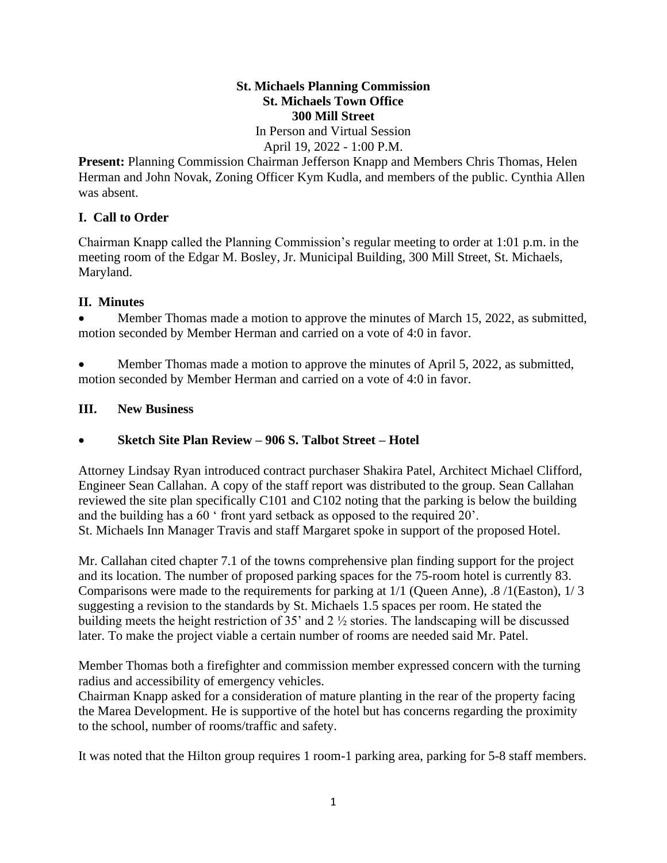# **St. Michaels Planning Commission St. Michaels Town Office 300 Mill Street**  In Person and Virtual Session

April 19, 2022 - 1:00 P.M.

**Present:** Planning Commission Chairman Jefferson Knapp and Members Chris Thomas, Helen Herman and John Novak, Zoning Officer Kym Kudla, and members of the public. Cynthia Allen was absent.

### **I. Call to Order**

Chairman Knapp called the Planning Commission's regular meeting to order at 1:01 p.m. in the meeting room of the Edgar M. Bosley, Jr. Municipal Building, 300 Mill Street, St. Michaels, Maryland.

#### **II. Minutes**

• Member Thomas made a motion to approve the minutes of March 15, 2022, as submitted, motion seconded by Member Herman and carried on a vote of 4:0 in favor.

• Member Thomas made a motion to approve the minutes of April 5, 2022, as submitted, motion seconded by Member Herman and carried on a vote of 4:0 in favor.

#### **III. New Business**

### • **Sketch Site Plan Review – 906 S. Talbot Street – Hotel**

Attorney Lindsay Ryan introduced contract purchaser Shakira Patel, Architect Michael Clifford, Engineer Sean Callahan. A copy of the staff report was distributed to the group. Sean Callahan reviewed the site plan specifically C101 and C102 noting that the parking is below the building and the building has a 60 ' front yard setback as opposed to the required 20'. St. Michaels Inn Manager Travis and staff Margaret spoke in support of the proposed Hotel.

Mr. Callahan cited chapter 7.1 of the towns comprehensive plan finding support for the project and its location. The number of proposed parking spaces for the 75-room hotel is currently 83. Comparisons were made to the requirements for parking at 1/1 (Queen Anne), .8 /1(Easton), 1/ 3 suggesting a revision to the standards by St. Michaels 1.5 spaces per room. He stated the building meets the height restriction of 35' and 2 ½ stories. The landscaping will be discussed later. To make the project viable a certain number of rooms are needed said Mr. Patel.

Member Thomas both a firefighter and commission member expressed concern with the turning radius and accessibility of emergency vehicles.

Chairman Knapp asked for a consideration of mature planting in the rear of the property facing the Marea Development. He is supportive of the hotel but has concerns regarding the proximity to the school, number of rooms/traffic and safety.

It was noted that the Hilton group requires 1 room-1 parking area, parking for 5-8 staff members.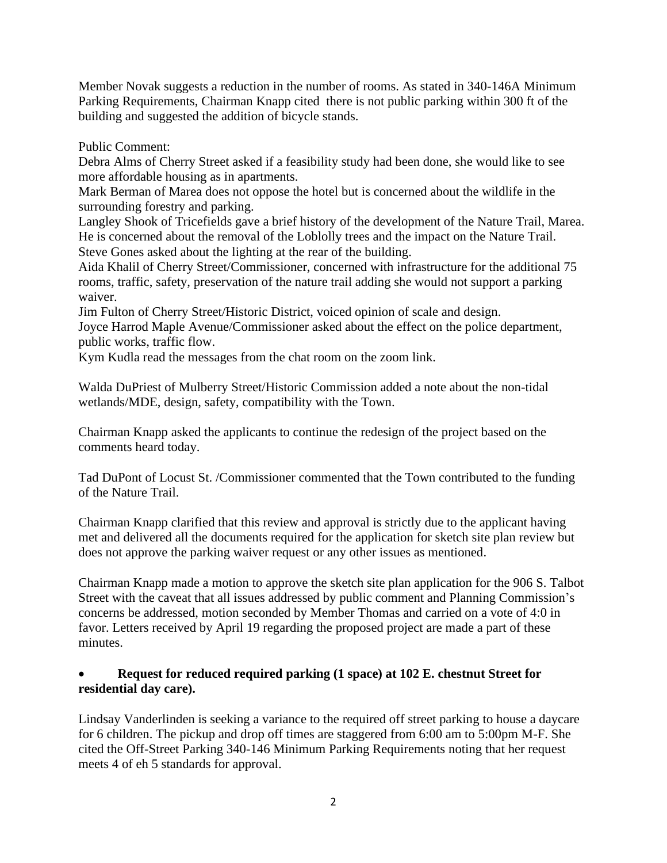Member Novak suggests a reduction in the number of rooms. As stated in 340-146A Minimum Parking Requirements, Chairman Knapp cited there is not public parking within 300 ft of the building and suggested the addition of bicycle stands.

Public Comment:

Debra Alms of Cherry Street asked if a feasibility study had been done, she would like to see more affordable housing as in apartments.

Mark Berman of Marea does not oppose the hotel but is concerned about the wildlife in the surrounding forestry and parking.

Langley Shook of Tricefields gave a brief history of the development of the Nature Trail, Marea. He is concerned about the removal of the Loblolly trees and the impact on the Nature Trail. Steve Gones asked about the lighting at the rear of the building.

Aida Khalil of Cherry Street/Commissioner, concerned with infrastructure for the additional 75 rooms, traffic, safety, preservation of the nature trail adding she would not support a parking waiver.

Jim Fulton of Cherry Street/Historic District, voiced opinion of scale and design. Joyce Harrod Maple Avenue/Commissioner asked about the effect on the police department, public works, traffic flow.

Kym Kudla read the messages from the chat room on the zoom link.

Walda DuPriest of Mulberry Street/Historic Commission added a note about the non-tidal wetlands/MDE, design, safety, compatibility with the Town.

Chairman Knapp asked the applicants to continue the redesign of the project based on the comments heard today.

Tad DuPont of Locust St. /Commissioner commented that the Town contributed to the funding of the Nature Trail.

Chairman Knapp clarified that this review and approval is strictly due to the applicant having met and delivered all the documents required for the application for sketch site plan review but does not approve the parking waiver request or any other issues as mentioned.

Chairman Knapp made a motion to approve the sketch site plan application for the 906 S. Talbot Street with the caveat that all issues addressed by public comment and Planning Commission's concerns be addressed, motion seconded by Member Thomas and carried on a vote of 4:0 in favor. Letters received by April 19 regarding the proposed project are made a part of these minutes.

### • **Request for reduced required parking (1 space) at 102 E. chestnut Street for residential day care).**

Lindsay Vanderlinden is seeking a variance to the required off street parking to house a daycare for 6 children. The pickup and drop off times are staggered from 6:00 am to 5:00pm M-F. She cited the Off-Street Parking 340-146 Minimum Parking Requirements noting that her request meets 4 of eh 5 standards for approval.